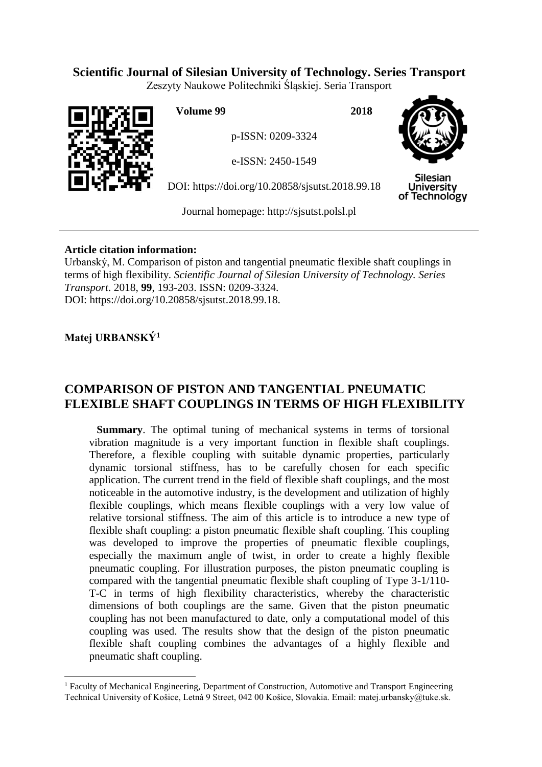# **Scientific Journal of Silesian University of Technology. Series Transport**

Zeszyty Naukowe Politechniki Śląskiej. Seria Transport



**Volume 99 2018**

p-ISSN: 0209-3324

e-ISSN: 2450-1549

DOI: https://doi.org/10.20858/sjsutst.2018.99.18



Silesian **University** of Technology

Journal homepage: [http://sjsutst.polsl.pl](http://sjsutst.polsl.pl/)

# **Article citation information:**

Urbanský, M. Comparison of piston and tangential pneumatic flexible shaft couplings in terms of high flexibility. *Scientific Journal of Silesian University of Technology. Series Transport*. 2018, **99**, 193-203. ISSN: 0209-3324. DOI: https://doi.org/10.20858/sjsutst.2018.99.18.

# **Matej URBANSKÝ<sup>1</sup>**

 $\overline{a}$ 

# **COMPARISON OF PISTON AND TANGENTIAL PNEUMATIC FLEXIBLE SHAFT COUPLINGS IN TERMS OF HIGH FLEXIBILITY**

**Summary**. The optimal tuning of mechanical systems in terms of torsional vibration magnitude is a very important function in flexible shaft couplings. Therefore, a flexible coupling with suitable dynamic properties, particularly dynamic torsional stiffness, has to be carefully chosen for each specific application. The current trend in the field of flexible shaft couplings, and the most noticeable in the automotive industry, is the development and utilization of highly flexible couplings, which means flexible couplings with a very low value of relative torsional stiffness. The aim of this article is to introduce a new type of flexible shaft coupling: a piston pneumatic flexible shaft coupling. This coupling was developed to improve the properties of pneumatic flexible couplings, especially the maximum angle of twist, in order to create a highly flexible pneumatic coupling. For illustration purposes, the piston pneumatic coupling is compared with the tangential pneumatic flexible shaft coupling of Type 3-1/110- T-C in terms of high flexibility characteristics, whereby the characteristic dimensions of both couplings are the same. Given that the piston pneumatic coupling has not been manufactured to date, only a computational model of this coupling was used. The results show that the design of the piston pneumatic flexible shaft coupling combines the advantages of a highly flexible and pneumatic shaft coupling.

<sup>&</sup>lt;sup>1</sup> Faculty of Mechanical Engineering, Department of Construction, Automotive and Transport Engineering Technical University of Košice, Letná 9 Street, 042 00 Košice, Slovakia. Email: matej.urbansky@tuke.sk.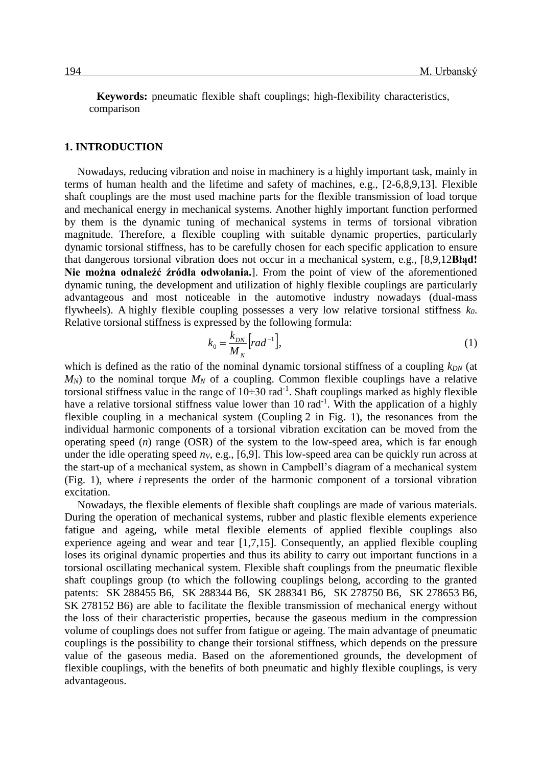**Keywords:** pneumatic flexible shaft couplings; high-flexibility characteristics, comparison

## **1. INTRODUCTION**

Nowadays, reducing vibration and noise in machinery is a highly important task, mainly in terms of human health and the lifetime and safety of machines, e.g., [2-6,8,9,13]. Flexible shaft couplings are the most used machine parts for the flexible transmission of load torque and mechanical energy in mechanical systems. Another highly important function performed by them is the dynamic tuning of mechanical systems in terms of torsional vibration magnitude. Therefore, a flexible coupling with suitable dynamic properties, particularly dynamic torsional stiffness, has to be carefully chosen for each specific application to ensure that dangerous torsional vibration does not occur in a mechanical system, e.g., [8,9,12**Błąd! Nie można odnaleźć źródła odwołania.**]. From the point of view of the aforementioned dynamic tuning, the development and utilization of highly flexible couplings are particularly advantageous and most noticeable in the automotive industry nowadays (dual-mass flywheels). A highly flexible coupling possesses a very low relative torsional stiffness *k0*. Relative torsional stiffness is expressed by the following formula:

$$
k_0 = \frac{k_{DN}}{M_N} \left[ rad^{-1} \right],\tag{1}
$$

which is defined as the ratio of the nominal dynamic torsional stiffness of a coupling  $k_{DN}$  (at  $M_N$ ) to the nominal torque  $M_N$  of a coupling. Common flexible couplings have a relative torsional stiffness value in the range of  $10\div 30$  rad<sup>-1</sup>. Shaft couplings marked as highly flexible have a relative torsional stiffness value lower than 10 rad<sup>-1</sup>. With the application of a highly flexible coupling in a mechanical system (Coupling 2 in Fig. 1), the resonances from the individual harmonic components of a torsional vibration excitation can be moved from the operating speed (*n*) range (OSR) of the system to the low-speed area, which is far enough under the idle operating speed  $n_V$ , e.g., [6,9]. This low-speed area can be quickly run across at the start-up of a mechanical system, as shown in Campbell's diagram of a mechanical system (Fig. 1), where *i* represents the order of the harmonic component of a torsional vibration excitation.

Nowadays, the flexible elements of flexible shaft couplings are made of various materials. During the operation of mechanical systems, rubber and plastic flexible elements experience fatigue and ageing, while metal flexible elements of applied flexible couplings also experience ageing and wear and tear [1,7,15]. Consequently, an applied flexible coupling loses its original dynamic properties and thus its ability to carry out important functions in a torsional oscillating mechanical system. Flexible shaft couplings from the pneumatic flexible shaft couplings group (to which the following couplings belong, according to the granted patents: SK 288455 B6, SK 288344 B6, SK 288341 B6, SK 278750 B6, SK 278653 B6, SK 278152 B6) are able to facilitate the flexible transmission of mechanical energy without the loss of their characteristic properties, because the gaseous medium in the compression volume of couplings does not suffer from fatigue or ageing. The main advantage of pneumatic couplings is the possibility to change their torsional stiffness, which depends on the pressure value of the gaseous media. Based on the aforementioned grounds, the development of flexible couplings, with the benefits of both pneumatic and highly flexible couplings, is very advantageous.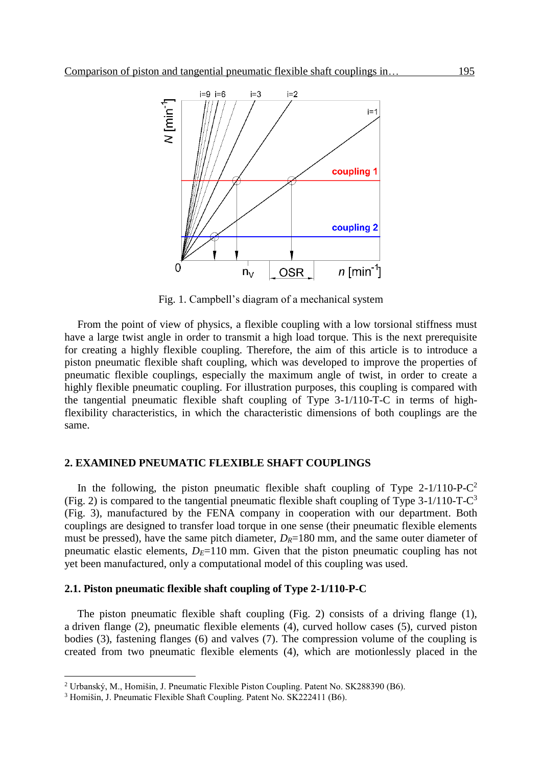

Fig. 1. Campbell's diagram of a mechanical system

From the point of view of physics, a flexible coupling with a low torsional stiffness must have a large twist angle in order to transmit a high load torque. This is the next prerequisite for creating a highly flexible coupling. Therefore, the aim of this article is to introduce a piston pneumatic flexible shaft coupling, which was developed to improve the properties of pneumatic flexible couplings, especially the maximum angle of twist, in order to create a highly flexible pneumatic coupling. For illustration purposes, this coupling is compared with the tangential pneumatic flexible shaft coupling of Type 3-1/110-T-C in terms of highflexibility characteristics, in which the characteristic dimensions of both couplings are the same.

### **2. EXAMINED PNEUMATIC FLEXIBLE SHAFT COUPLINGS**

In the following, the piston pneumatic flexible shaft coupling of Type  $2-1/110$ -P-C<sup>2</sup> (Fig. 2) is compared to the tangential pneumatic flexible shaft coupling of Type  $3-1/110$ -T-C<sup>3</sup> (Fig. 3), manufactured by the FENA company in cooperation with our department. Both couplings are designed to transfer load torque in one sense (their pneumatic flexible elements must be pressed), have the same pitch diameter,  $D_R=180$  mm, and the same outer diameter of pneumatic elastic elements,  $D_E=110$  mm. Given that the piston pneumatic coupling has not yet been manufactured, only a computational model of this coupling was used.

## **2.1. Piston pneumatic flexible shaft coupling of Type 2-1/110-P-C**

The piston pneumatic flexible shaft coupling (Fig. 2) consists of a driving flange (1), a driven flange (2), pneumatic flexible elements (4), curved hollow cases (5), curved piston bodies (3), fastening flanges (6) and valves (7). The compression volume of the coupling is created from two pneumatic flexible elements (4), which are motionlessly placed in the

 $\overline{a}$ 

<sup>2</sup> Urbanský, M., Homišin, J. Pneumatic Flexible Piston Coupling. Patent No. SK288390 (B6).

<sup>3</sup> Homišin, J. Pneumatic Flexible Shaft Coupling. Patent No. SK222411 (B6).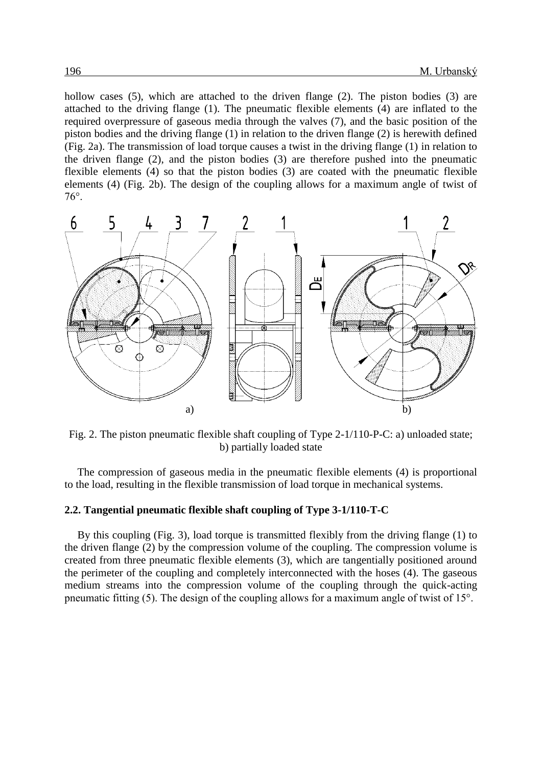hollow cases (5), which are attached to the driven flange (2). The piston bodies (3) are attached to the driving flange (1). The pneumatic flexible elements (4) are inflated to the required overpressure of gaseous media through the valves (7), and the basic position of the piston bodies and the driving flange (1) in relation to the driven flange (2) is herewith defined (Fig. 2a). The transmission of load torque causes a twist in the driving flange (1) in relation to the driven flange (2), and the piston bodies (3) are therefore pushed into the pneumatic flexible elements (4) so that the piston bodies (3) are coated with the pneumatic flexible elements (4) (Fig. 2b). The design of the coupling allows for a maximum angle of twist of 76°.



Fig. 2. The piston pneumatic flexible shaft coupling of Type 2-1/110-P-C: a) unloaded state; b) partially loaded state

The compression of gaseous media in the pneumatic flexible elements (4) is proportional to the load, resulting in the flexible transmission of load torque in mechanical systems.

### **2.2. Tangential pneumatic flexible shaft coupling of Type 3-1/110-T-C**

By this coupling (Fig. 3), load torque is transmitted flexibly from the driving flange (1) to the driven flange (2) by the compression volume of the coupling. The compression volume is created from three pneumatic flexible elements (3), which are tangentially positioned around the perimeter of the coupling and completely interconnected with the hoses (4). The gaseous medium streams into the compression volume of the coupling through the quick-acting pneumatic fitting (5). The design of the coupling allows for a maximum angle of twist of 15°.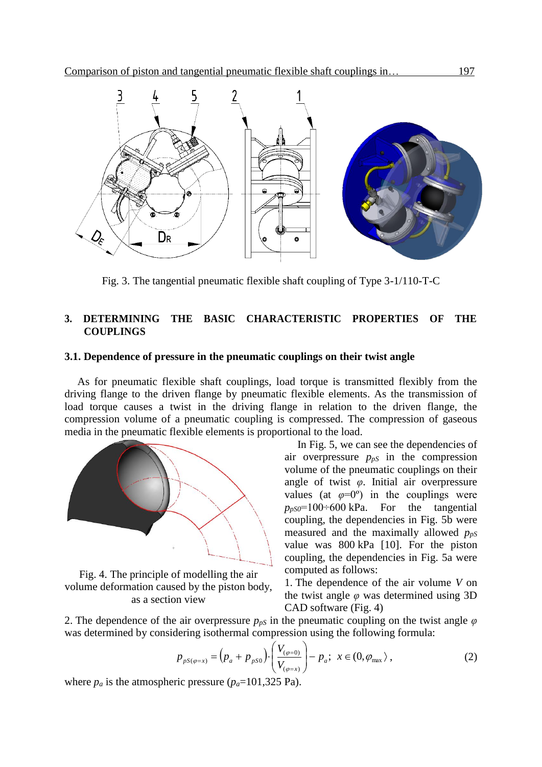

Fig. 3. The tangential pneumatic flexible shaft coupling of Type 3-1/110-T-C

# **3. DETERMINING THE BASIC CHARACTERISTIC PROPERTIES OF THE COUPLINGS**

## **3.1. Dependence of pressure in the pneumatic couplings on their twist angle**

As for pneumatic flexible shaft couplings, load torque is transmitted flexibly from the driving flange to the driven flange by pneumatic flexible elements. As the transmission of load torque causes a twist in the driving flange in relation to the driven flange, the compression volume of a pneumatic coupling is compressed. The compression of gaseous media in the pneumatic flexible elements is proportional to the load.



Fig. 4. The principle of modelling the air volume deformation caused by the piston body, as a section view

In Fig. 5, we can see the dependencies of air overpressure  $p_{pS}$  in the compression volume of the pneumatic couplings on their angle of twist *φ*. Initial air overpressure values (at  $\varphi=0^{\circ}$ ) in the couplings were  $p_{pS0}$ =100÷600 kPa. For the tangential coupling, the dependencies in Fig. 5b were measured and the maximally allowed  $p_{pS}$ value was 800 kPa [10]. For the piston coupling, the dependencies in Fig. 5a were computed as follows:

1. The dependence of the air volume *V* on the twist angle *φ* was determined using 3D CAD software (Fig. 4)

2. The dependence of the air overpressure  $p_{pS}$  in the pneumatic coupling on the twist angle  $\varphi$ was determined by considering isothermal compression using the following formula:

$$
p_{pS(\varphi=x)} = (p_a + p_{pS0}) \cdot \left(\frac{V_{(\varphi=0)}}{V_{(\varphi=x)}}\right) - p_a; \ \ x \in (0, \varphi_{\text{max}}), \tag{2}
$$

where  $p_a$  is the atmospheric pressure  $(p_a=101,325 \text{ Pa})$ .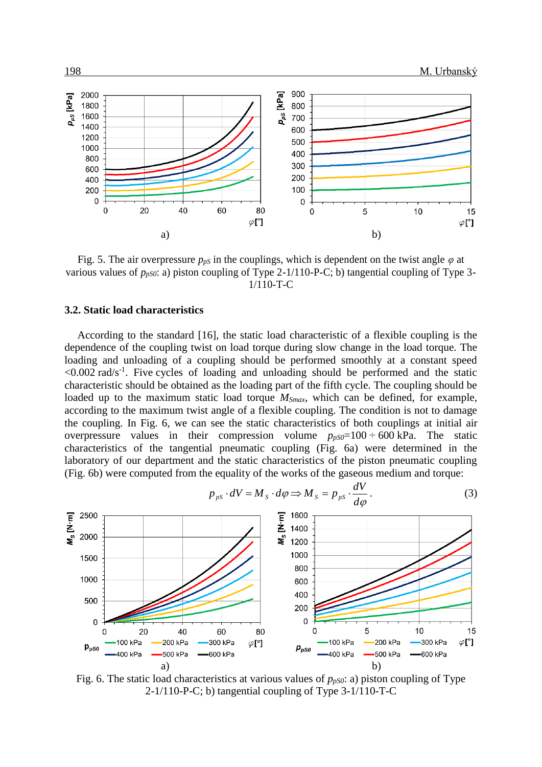

Fig. 5. The air overpressure  $p_{pS}$  in the couplings, which is dependent on the twist angle  $\varphi$  at various values of  $p_{pS0}$ : a) piston coupling of Type 2-1/110-P-C; b) tangential coupling of Type 3-1/110-T-C

### **3.2. Static load characteristics**

According to the standard [16], the static load characteristic of a flexible coupling is the dependence of the coupling twist on load torque during slow change in the load torque. The loading and unloading of a coupling should be performed smoothly at a constant speed  $\leq 0.002$  rad/s<sup>-1</sup>. Five cycles of loading and unloading should be performed and the static characteristic should be obtained as the loading part of the fifth cycle. The coupling should be loaded up to the maximum static load torque *MSmax*, which can be defined, for example, according to the maximum twist angle of a flexible coupling. The condition is not to damage the coupling. In Fig. 6, we can see the static characteristics of both couplings at initial air overpressure values in their compression volume  $p_{pS0}=100 \div 600 \text{ kPa}$ . The static characteristics of the tangential pneumatic coupling (Fig. 6a) were determined in the laboratory of our department and the static characteristics of the piston pneumatic coupling (Fig. 6b) were computed from the equality of the works of the gaseous medium and torque:



Fig. 6. The static load characteristics at various values of  $p_{pS0}$ : a) piston coupling of Type 2-1/110-P-C; b) tangential coupling of Type 3-1/110-T-C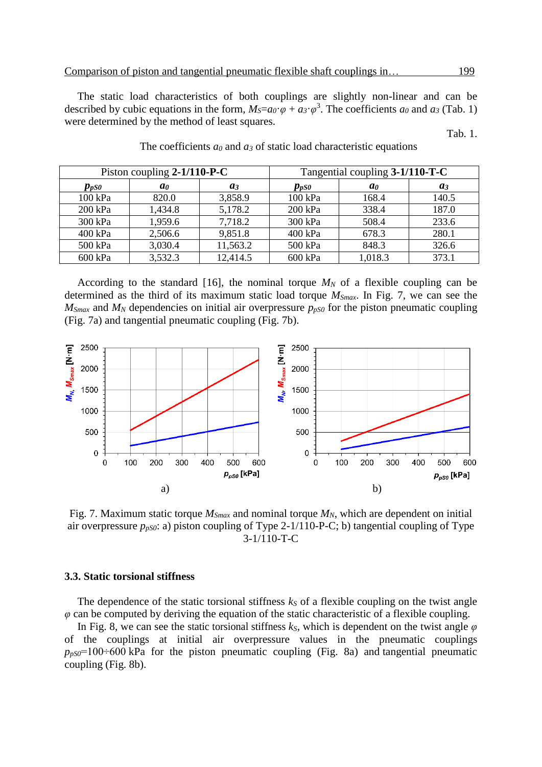The static load characteristics of both couplings are slightly non-linear and can be described by cubic equations in the form,  $M_S = a_0 \cdot \varphi + a_3 \cdot \varphi^3$ . The coefficients  $a_0$  and  $a_3$  (Tab. 1) were determined by the method of least squares.

Tab. 1.

| Piston coupling $2-1/110-P-C$ |                |          | Tangential coupling 3-1/110-T-C      |                |       |
|-------------------------------|----------------|----------|--------------------------------------|----------------|-------|
| $p_{pS0}$                     | a <sub>0</sub> | $a_3$    | $\boldsymbol{p}_{\boldsymbol{p}}$ so | a <sub>0</sub> | $a_3$ |
| 100 kPa                       | 820.0          | 3,858.9  | 100 kPa                              | 168.4          | 140.5 |
| 200 kPa                       | 1,434.8        | 5,178.2  | 200 kPa                              | 338.4          | 187.0 |
| 300 kPa                       | 1,959.6        | 7,718.2  | 300 kPa                              | 508.4          | 233.6 |
| 400 kPa                       | 2,506.6        | 9,851.8  | 400 kPa                              | 678.3          | 280.1 |
| 500 kPa                       | 3,030.4        | 11,563.2 | 500 kPa                              | 848.3          | 326.6 |
| 600 kPa                       | 3,532.3        | 12,414.5 | 600 kPa                              | 1,018.3        | 373.1 |

The coefficients *a<sup>0</sup>* and *a<sup>3</sup>* of static load characteristic equations

According to the standard [16], the nominal torque  $M_N$  of a flexible coupling can be determined as the third of its maximum static load torque *MSmax*. In Fig. 7, we can see the  $M_{Smax}$  and  $M_N$  dependencies on initial air overpressure  $p_{pS0}$  for the piston pneumatic coupling (Fig. 7a) and tangential pneumatic coupling (Fig. 7b).



Fig. 7. Maximum static torque *MSmax* and nominal torque *MN*, which are dependent on initial air overpressure  $p_{pS0}$ : a) piston coupling of Type 2-1/110-P-C; b) tangential coupling of Type 3-1/110-T-C

#### **3.3. Static torsional stiffness**

The dependence of the static torsional stiffness  $k<sub>S</sub>$  of a flexible coupling on the twist angle *φ* can be computed by deriving the equation of the static characteristic of a flexible coupling.

In Fig. 8, we can see the static torsional stiffness  $k<sub>S</sub>$ , which is dependent on the twist angle  $\varphi$ of the couplings at initial air overpressure values in the pneumatic couplings  $p_{pS0}$ =100÷600 kPa for the piston pneumatic coupling (Fig. 8a) and tangential pneumatic coupling (Fig. 8b).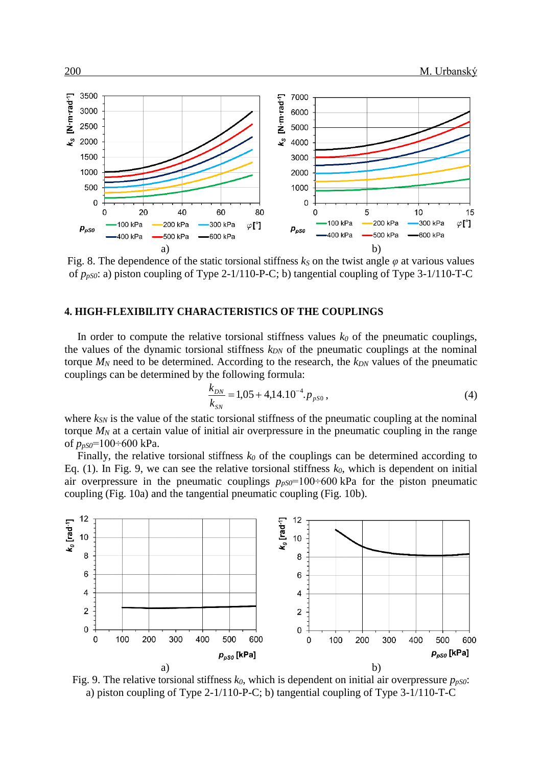

Fig. 8. The dependence of the static torsional stiffness  $k<sub>S</sub>$  on the twist angle  $\varphi$  at various values of *ppS0*: a) piston coupling of Type 2-1/110-P-C; b) tangential coupling of Type 3-1/110-T-C

#### **4. HIGH-FLEXIBILITY CHARACTERISTICS OF THE COUPLINGS**

In order to compute the relative torsional stiffness values  $k_0$  of the pneumatic couplings, the values of the dynamic torsional stiffness *kDN* of the pneumatic couplings at the nominal torque  $M_N$  need to be determined. According to the research, the  $k_{DN}$  values of the pneumatic couplings can be determined by the following formula:

$$
\frac{k_{DN}}{k_{SN}} = 1,05 + 4,14.10^{-4}.p_{pS0},\tag{4}
$$

where  $k_{\text{SW}}$  is the value of the static torsional stiffness of the pneumatic coupling at the nominal torque  $M_N$  at a certain value of initial air overpressure in the pneumatic coupling in the range of *ppS0*=100÷600 kPa.

Finally, the relative torsional stiffness  $k_0$  of the couplings can be determined according to Eq. (1). In Fig. 9, we can see the relative torsional stiffness *k0*, which is dependent on initial air overpressure in the pneumatic couplings  $p_{pS0}=100\div 600$  kPa for the piston pneumatic coupling (Fig. 10a) and the tangential pneumatic coupling (Fig. 10b).



Fig. 9. The relative torsional stiffness  $k_0$ , which is dependent on initial air overpressure  $p_{pS0}$ : a) piston coupling of Type 2-1/110-P-C; b) tangential coupling of Type 3-1/110-T-C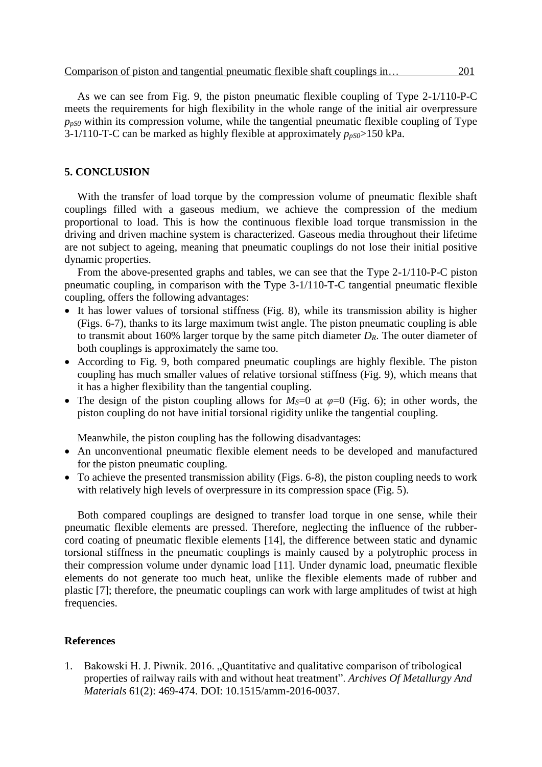As we can see from Fig. 9, the piston pneumatic flexible coupling of Type 2-1/110-P-C meets the requirements for high flexibility in the whole range of the initial air overpressure  $p_{pS0}$  within its compression volume, while the tangential pneumatic flexible coupling of Type 3-1/110-T-C can be marked as highly flexible at approximately  $p_{pS0}$  > 150 kPa.

## **5. CONCLUSION**

With the transfer of load torque by the compression volume of pneumatic flexible shaft couplings filled with a gaseous medium, we achieve the compression of the medium proportional to load. This is how the continuous flexible load torque transmission in the driving and driven machine system is characterized. Gaseous media throughout their lifetime are not subject to ageing, meaning that pneumatic couplings do not lose their initial positive dynamic properties.

From the above-presented graphs and tables, we can see that the Type 2-1/110-P-C piston pneumatic coupling, in comparison with the Type 3-1/110-T-C tangential pneumatic flexible coupling, offers the following advantages:

- It has lower values of torsional stiffness (Fig. 8), while its transmission ability is higher (Figs. 6-7), thanks to its large maximum twist angle. The piston pneumatic coupling is able to transmit about 160% larger torque by the same pitch diameter *DR*. The outer diameter of both couplings is approximately the same too.
- According to Fig. 9, both compared pneumatic couplings are highly flexible. The piston coupling has much smaller values of relative torsional stiffness (Fig. 9), which means that it has a higher flexibility than the tangential coupling.
- The design of the piston coupling allows for  $M_s=0$  at  $\varphi=0$  (Fig. 6); in other words, the piston coupling do not have initial torsional rigidity unlike the tangential coupling.

Meanwhile, the piston coupling has the following disadvantages:

- An unconventional pneumatic flexible element needs to be developed and manufactured for the piston pneumatic coupling.
- To achieve the presented transmission ability (Figs. 6-8), the piston coupling needs to work with relatively high levels of overpressure in its compression space (Fig. 5).

Both compared couplings are designed to transfer load torque in one sense, while their pneumatic flexible elements are pressed. Therefore, neglecting the influence of the rubbercord coating of pneumatic flexible elements [14], the difference between static and dynamic torsional stiffness in the pneumatic couplings is mainly caused by a polytrophic process in their compression volume under dynamic load [11]. Under dynamic load, pneumatic flexible elements do not generate too much heat, unlike the flexible elements made of rubber and plastic [7]; therefore, the pneumatic couplings can work with large amplitudes of twist at high frequencies.

#### **References**

1. Bakowski H. J. Piwnik. 2016. "Quantitative and qualitative comparison of tribological properties of railway rails with and without heat treatment". *Archives Of Metallurgy And Materials* 61(2): 469-474. DOI: 10.1515/amm-2016-0037.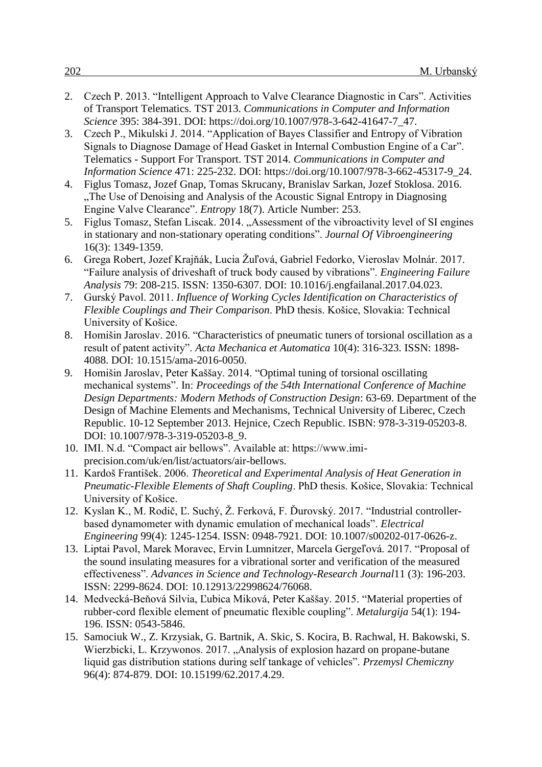- 2. Czech P. 2013. "Intelligent Approach to Valve Clearance Diagnostic in Cars". Activities of Transport Telematics. TST 2013. *Communications in Computer and Information Science* 395: 384-391. DOI: https://doi.org/10.1007/978-3-642-41647-7\_47.
- 3. Czech P., Mikulski J. 2014. "Application of Bayes Classifier and Entropy of Vibration Signals to Diagnose Damage of Head Gasket in Internal Combustion Engine of a Car". Telematics - Support For Transport. TST 2014. *Communications in Computer and Information Science* 471: 225-232. DOI: https://doi.org/10.1007/978-3-662-45317-9\_24.
- 4. Figlus Tomasz, Jozef Gnap, Tomas Skrucany, Branislav Sarkan, Jozef Stoklosa. 2016. The Use of Denoising and Analysis of the Acoustic Signal Entropy in Diagnosing Engine Valve Clearance". *Entropy* 18(7). Article Number: 253.
- 5. Figlus Tomasz, Stefan Liscak. 2014. "Assessment of the vibroactivity level of SI engines in stationary and non-stationary operating conditions". *Journal Of Vibroengineering* 16(3): 1349-1359.
- 6. Grega Robert, Jozef Krajňák, Lucia Žuľová, Gabriel Fedorko, Vieroslav Molnár. 2017. "Failure analysis of driveshaft of truck body caused by vibrations". *Engineering Failure Analysis* 79: 208-215. ISSN: 1350-6307. DOI: 10.1016/j.engfailanal.2017.04.023.
- 7. Gurský Pavol. 2011. *Influence of Working Cycles Identification on Characteristics of Flexible Couplings and Their Comparison*. PhD thesis. Košice, Slovakia: Technical University of Košice.
- 8. Homišin Jaroslav. 2016. "Characteristics of pneumatic tuners of torsional oscillation as a result of patent activity". *Acta Mechanica et Automatica* 10(4): 316-323. ISSN: 1898- 4088. DOI: 10.1515/ama-2016-0050.
- 9. Homišin Jaroslav, Peter Kaššay. 2014. "Optimal tuning of torsional oscillating mechanical systems". In: *Proceedings of the 54th International Conference of Machine Design Departments: Modern Methods of Construction Design*: 63-69. Department of the Design of Machine Elements and Mechanisms, Technical University of Liberec, Czech Republic. 10-12 September 2013. Hejnice, Czech Republic. ISBN: 978-3-319-05203-8. DOI: 10.1007/978-3-319-05203-8\_9.
- 10. IMI. N.d. "Compact air bellows". Available at: https://www.imiprecision.com/uk/en/list/actuators/air-bellows.
- 11. Kardoš František. 2006. *Theoretical and Experimental Analysis of Heat Generation in Pneumatic-Flexible Elements of Shaft Coupling*. PhD thesis. Košice, Slovakia: Technical University of Košice.
- 12. Kyslan K., M. Rodič, Ľ. Suchý, Ž. Ferková, F. Ďurovský. 2017. "Industrial controllerbased dynamometer with dynamic emulation of mechanical loads". *Electrical Engineering* 99(4): 1245-1254. ISSN: 0948-7921. DOI: 10.1007/s00202-017-0626-z.
- 13. Liptai Pavol, Marek Moravec, Ervin Lumnitzer, Marcela Gergeľová. 2017. "Proposal of the sound insulating measures for a vibrational sorter and verification of the measured effectiveness". *Advances in Science and Technology-Research Journal*11 (3): 196-203. ISSN: 2299-8624. DOI: 10.12913/22998624/76068.
- 14. Medvecká-Beňová Silvia, Ľubica Miková, Peter Kaššay. 2015. "Material properties of rubber-cord flexible element of pneumatic flexible coupling". *Metalurgija* 54(1): 194- 196. ISSN: 0543-5846.
- 15. Samociuk W., Z. Krzysiak, G. Bartnik, A. Skic, S. Kocira, B. Rachwal, H. Bakowski, S. Wierzbicki, L. Krzywonos. 2017. "Analysis of explosion hazard on propane-butane liquid gas distribution stations during self tankage of vehicles". *Przemysl Chemiczny* 96(4): 874-879. DOI: 10.15199/62.2017.4.29.